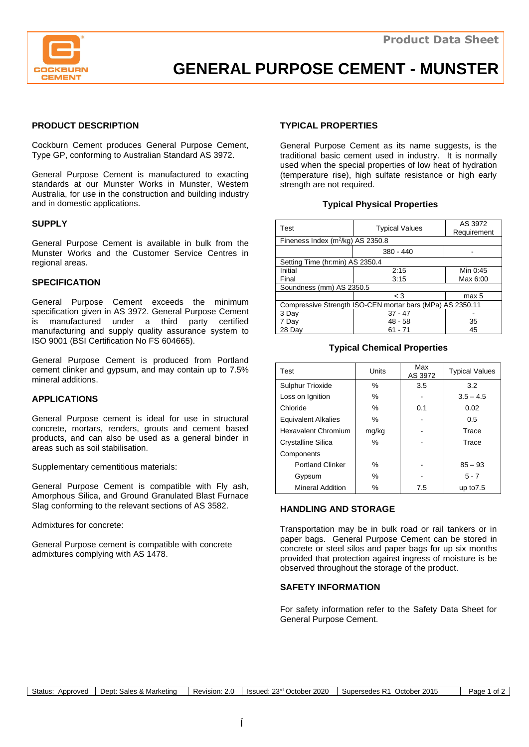

# **GENERAL PURPOSE CEMENT - MUNSTER**

# **PRODUCT DESCRIPTION**

Cockburn Cement produces General Purpose Cement, Type GP, conforming to Australian Standard AS 3972.

General Purpose Cement is manufactured to exacting standards at our Munster Works in Munster, Western Australia, for use in the construction and building industry and in domestic applications.

#### **SUPPLY**

General Purpose Cement is available in bulk from the Munster Works and the Customer Service Centres in regional areas.

#### **SPECIFICATION**

General Purpose Cement exceeds the minimum specification given in AS 3972. General Purpose Cement is manufactured under a third party certified manufacturing and supply quality assurance system to ISO 9001 (BSI Certification No FS 604665).

General Purpose Cement is produced from Portland cement clinker and gypsum, and may contain up to 7.5% mineral additions.

### **APPLICATIONS**

General Purpose cement is ideal for use in structural concrete, mortars, renders, grouts and cement based products, and can also be used as a general binder in areas such as soil stabilisation.

Supplementary cementitious materials:

General Purpose Cement is compatible with Fly ash, Amorphous Silica, and Ground Granulated Blast Furnace Slag conforming to the relevant sections of AS 3582.

Admixtures for concrete:

General Purpose cement is compatible with concrete admixtures complying with AS 1478.

# **TYPICAL PROPERTIES**

General Purpose Cement as its name suggests, is the traditional basic cement used in industry. It is normally used when the special properties of low heat of hydration (temperature rise), high sulfate resistance or high early strength are not required.

## **Typical Physical Properties**

| Test                                                      | <b>Typical Values</b> | AS 3972<br>Requirement |  |  |  |  |  |
|-----------------------------------------------------------|-----------------------|------------------------|--|--|--|--|--|
| Fineness Index (m <sup>2</sup> /kg) AS 2350.8             |                       |                        |  |  |  |  |  |
|                                                           | $380 - 440$           |                        |  |  |  |  |  |
| Setting Time (hr:min) AS 2350.4                           |                       |                        |  |  |  |  |  |
| Initial                                                   | 2:15                  | Min 0:45               |  |  |  |  |  |
| Final                                                     | 3:15                  | Max 6:00               |  |  |  |  |  |
| Soundness (mm) AS 2350.5                                  |                       |                        |  |  |  |  |  |
|                                                           | $\leq 3$              | max 5                  |  |  |  |  |  |
| Compressive Strength ISO-CEN mortar bars (MPa) AS 2350.11 |                       |                        |  |  |  |  |  |
| 3 Day                                                     | $37 - 47$             |                        |  |  |  |  |  |
| 7 Day                                                     | $48 - 58$             | 35                     |  |  |  |  |  |
| 28 Dav                                                    | $61 - 71$             | 45                     |  |  |  |  |  |

## **Typical Chemical Properties**

| Test                       | Units | Max<br>AS 3972 | <b>Typical Values</b> |  |
|----------------------------|-------|----------------|-----------------------|--|
| Sulphur Trioxide           | $\%$  | 3.5<br>3.2     |                       |  |
| Loss on Ignition           | $\%$  |                | $3.5 - 4.5$           |  |
| Chloride                   | $\%$  | 0.1            | 0.02                  |  |
| <b>Equivalent Alkalies</b> | $\%$  | 0.5            |                       |  |
| <b>Hexavalent Chromium</b> | mg/kg |                | Trace                 |  |
| Crystalline Silica         | $\%$  |                | Trace                 |  |
| Components                 |       |                |                       |  |
| <b>Portland Clinker</b>    | $\%$  |                | $85 - 93$             |  |
| Gypsum                     | $\%$  |                | $5 - 7$               |  |
| <b>Mineral Addition</b>    | $\%$  | 7.5            | up to $7.5$           |  |

## **HANDLING AND STORAGE**

Transportation may be in bulk road or rail tankers or in paper bags. General Purpose Cement can be stored in concrete or steel silos and paper bags for up six months provided that protection against ingress of moisture is be observed throughout the storage of the product.

### **SAFETY INFORMATION**

For safety information refer to the Safety Data Sheet for General Purpose Cement.